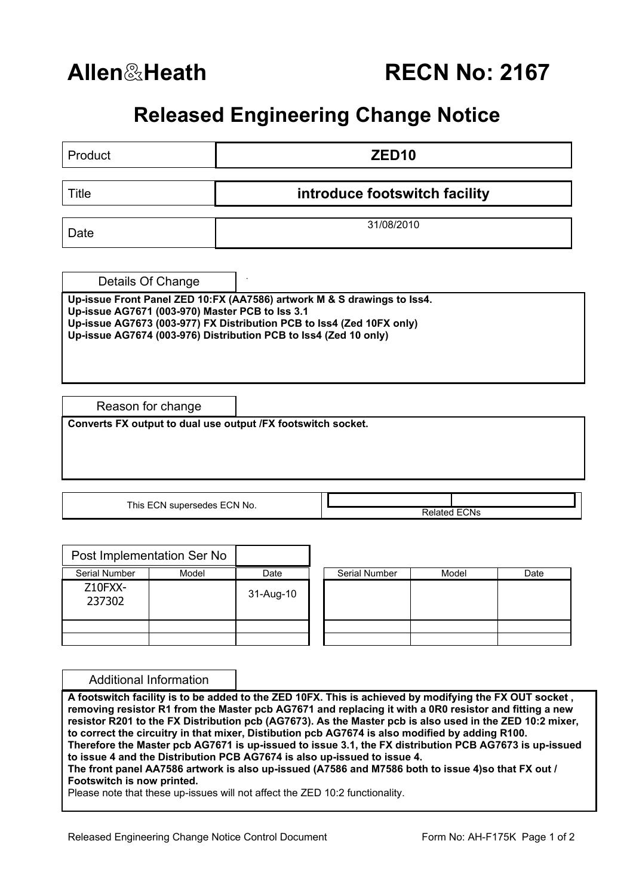## **Released Engineering Change Notice**

| Product                                                              |                               | ZED <sub>10</sub>                                                |                                                                                                                                                                                                                                                                                                                                                                                                                                                                                                                                                                                                                                                                                                                             |       |      |  |  |  |  |
|----------------------------------------------------------------------|-------------------------------|------------------------------------------------------------------|-----------------------------------------------------------------------------------------------------------------------------------------------------------------------------------------------------------------------------------------------------------------------------------------------------------------------------------------------------------------------------------------------------------------------------------------------------------------------------------------------------------------------------------------------------------------------------------------------------------------------------------------------------------------------------------------------------------------------------|-------|------|--|--|--|--|
| <b>Title</b>                                                         | introduce footswitch facility |                                                                  |                                                                                                                                                                                                                                                                                                                                                                                                                                                                                                                                                                                                                                                                                                                             |       |      |  |  |  |  |
| Date                                                                 |                               |                                                                  | 31/08/2010                                                                                                                                                                                                                                                                                                                                                                                                                                                                                                                                                                                                                                                                                                                  |       |      |  |  |  |  |
|                                                                      |                               |                                                                  |                                                                                                                                                                                                                                                                                                                                                                                                                                                                                                                                                                                                                                                                                                                             |       |      |  |  |  |  |
| Details Of Change<br>Up-issue AG7671 (003-970) Master PCB to lss 3.1 |                               | Up-issue AG7674 (003-976) Distribution PCB to lss4 (Zed 10 only) | Up-issue Front Panel ZED 10:FX (AA7586) artwork M & S drawings to lss4.<br>Up-issue AG7673 (003-977) FX Distribution PCB to Iss4 (Zed 10FX only)                                                                                                                                                                                                                                                                                                                                                                                                                                                                                                                                                                            |       |      |  |  |  |  |
| Reason for change                                                    |                               |                                                                  |                                                                                                                                                                                                                                                                                                                                                                                                                                                                                                                                                                                                                                                                                                                             |       |      |  |  |  |  |
|                                                                      |                               | Converts FX output to dual use output /FX footswitch socket.     |                                                                                                                                                                                                                                                                                                                                                                                                                                                                                                                                                                                                                                                                                                                             |       |      |  |  |  |  |
|                                                                      | This ECN supersedes ECN No.   |                                                                  | <b>Related ECNs</b>                                                                                                                                                                                                                                                                                                                                                                                                                                                                                                                                                                                                                                                                                                         |       |      |  |  |  |  |
| Post Implementation Ser No                                           |                               |                                                                  |                                                                                                                                                                                                                                                                                                                                                                                                                                                                                                                                                                                                                                                                                                                             |       |      |  |  |  |  |
| Serial Number<br>Z10FXX-                                             | Model                         | Date<br>31-Aug-10                                                | Serial Number                                                                                                                                                                                                                                                                                                                                                                                                                                                                                                                                                                                                                                                                                                               | Model | Date |  |  |  |  |
| 237302                                                               |                               |                                                                  |                                                                                                                                                                                                                                                                                                                                                                                                                                                                                                                                                                                                                                                                                                                             |       |      |  |  |  |  |
|                                                                      |                               |                                                                  |                                                                                                                                                                                                                                                                                                                                                                                                                                                                                                                                                                                                                                                                                                                             |       |      |  |  |  |  |
| <b>Additional Information</b>                                        |                               |                                                                  |                                                                                                                                                                                                                                                                                                                                                                                                                                                                                                                                                                                                                                                                                                                             |       |      |  |  |  |  |
| Footswitch is now printed.                                           |                               |                                                                  | A footswitch facility is to be added to the ZED 10FX. This is achieved by modifying the FX OUT socket,<br>removing resistor R1 from the Master pcb AG7671 and replacing it with a 0R0 resistor and fitting a new<br>resistor R201 to the FX Distribution pcb (AG7673). As the Master pcb is also used in the ZED 10:2 mixer,<br>to correct the circuitry in that mixer, Distibution pcb AG7674 is also modified by adding R100.<br>Therefore the Master pcb AG7671 is up-issued to issue 3.1, the FX distribution PCB AG7673 is up-issued<br>to issue 4 and the Distribution PCB AG7674 is also up-issued to issue 4.<br>The front panel AA7586 artwork is also up-issued (A7586 and M7586 both to issue 4)so that FX out / |       |      |  |  |  |  |

Please note that these up-issues will not affect the ZED 10:2 functionality.